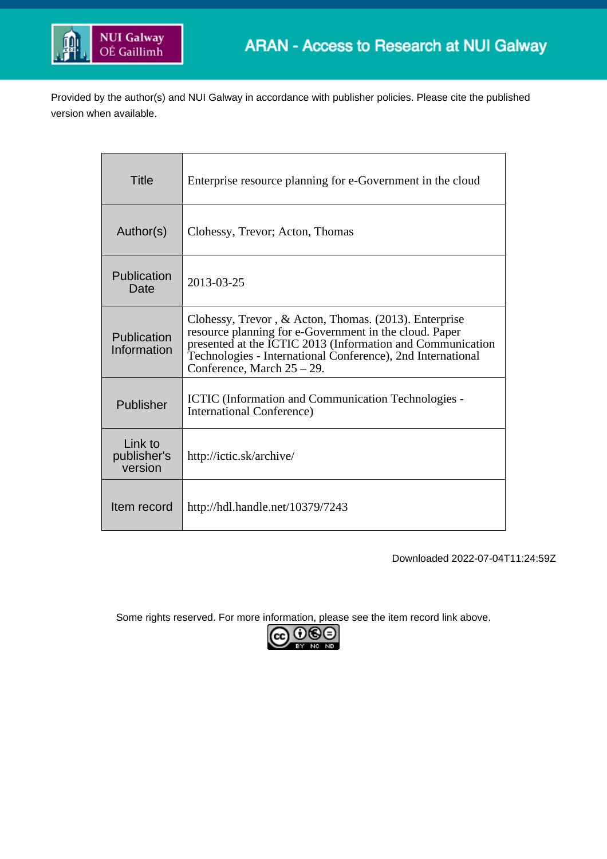

Provided by the author(s) and NUI Galway in accordance with publisher policies. Please cite the published version when available.

| Title                             | Enterprise resource planning for e-Government in the cloud                                                                                                                                                                                                                 |
|-----------------------------------|----------------------------------------------------------------------------------------------------------------------------------------------------------------------------------------------------------------------------------------------------------------------------|
| Author(s)                         | Clohessy, Trevor; Acton, Thomas                                                                                                                                                                                                                                            |
| Publication<br>Date               | 2013-03-25                                                                                                                                                                                                                                                                 |
| Publication<br>Information        | Clohessy, Trevor, & Acton, Thomas. (2013). Enterprise<br>resource planning for e-Government in the cloud. Paper<br>presented at the ICTIC 2013 (Information and Communication<br>Technologies - International Conference), 2nd International<br>Conference, March 25 - 29. |
| Publisher                         | <b>ICTIC</b> (Information and Communication Technologies -<br><b>International Conference</b> )                                                                                                                                                                            |
| Link to<br>publisher's<br>version | http://ictic.sk/archive/                                                                                                                                                                                                                                                   |
| Item record                       | http://hdl.handle.net/10379/7243                                                                                                                                                                                                                                           |

Downloaded 2022-07-04T11:24:59Z

Some rights reserved. For more information, please see the item record link above.

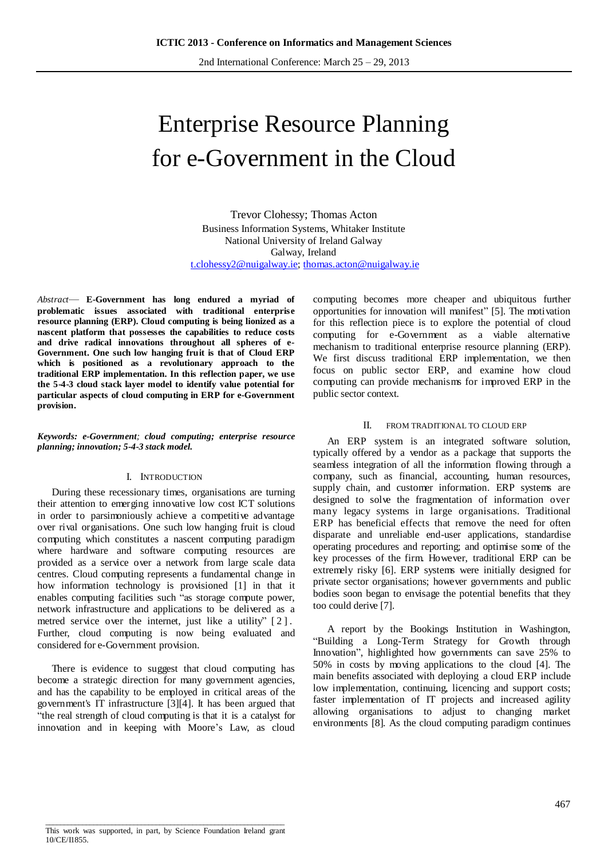2nd International Conference: March 25 – 29, 2013

# Enterprise Resource Planning for e-Government in the Cloud

Trevor Clohessy; Thomas Acton Business Information Systems, Whitaker Institute National University of Ireland Galway Galway, Ireland [t.clohessy2@nuigalway.ie;](mailto:t.clohessy2@nuigalway.ie) [thomas.acton@nuigalway.ie](mailto:thomas.acton@nuigalway.ie)

*Abstract*— **E-Government has long endured a myriad of problematic issues associated with traditional enterprise resource planning (ERP). Cloud computing is being lionized as a nascent platform that possesses the capabilities to reduce costs and drive radical innovations throughout all spheres of e-Government. One such low hanging fruit is that of Cloud ERP which is positioned as a revolutionary approach to the traditional ERP implementation. In this reflection paper, we use the 5-4-3 cloud stack layer model to identify value potential for particular aspects of cloud computing in ERP for e-Government provision.**

*Keywords: e-Government; cloud computing; enterprise resource planning; innovation; 5-4-3 stack model.* 

#### I. INTRODUCTION

During these recessionary times, organisations are turning their attention to emerging innovative low cost ICT solutions in order to parsimoniously achieve a competitive advantage over rival organisations. One such low hanging fruit is cloud computing which constitutes a nascent computing paradigm where hardware and software computing resources are provided as a service over a network from large scale data centres. Cloud computing represents a fundamental change in how information technology is provisioned [1] in that it enables computing facilities such "as storage compute power, network infrastructure and applications to be delivered as a metred service over the internet, just like a utility" [2]. Further, cloud computing is now being evaluated and considered for e-Government provision.

There is evidence to suggest that cloud computing has become a strategic direction for many government agencies, and has the capability to be employed in critical areas of the government's IT infrastructure [3][4]. It has been argued that "the real strength of cloud computing is that it is a catalyst for innovation and in keeping with Moore's Law, as cloud computing becomes more cheaper and ubiquitous further opportunities for innovation will manifest" [5]. The motivation for this reflection piece is to explore the potential of cloud computing for e-Government as a viable alternative mechanism to traditional enterprise resource planning (ERP). We first discuss traditional ERP implementation, we then focus on public sector ERP, and examine how cloud computing can provide mechanisms for improved ERP in the public sector context.

#### II. FROM TRADITIONAL TO CLOUD ERP

An ERP system is an integrated software solution, typically offered by a vendor as a package that supports the seamless integration of all the information flowing through a company, such as financial, accounting, human resources, supply chain, and customer information. ERP systems are designed to solve the fragmentation of information over many legacy systems in large organisations. Traditional ERP has beneficial effects that remove the need for often disparate and unreliable end-user applications, standardise operating procedures and reporting; and optimise some of the key processes of the firm. However, traditional ERP can be extremely risky [6]. ERP systems were initially designed for private sector organisations; however governments and public bodies soon began to envisage the potential benefits that they too could derive [7].

A report by the Bookings Institution in Washington, "Building a Long-Term Strategy for Growth through Innovation", highlighted how governments can save 25% to 50% in costs by moving applications to the cloud [4]. The main benefits associated with deploying a cloud ERP include low implementation, continuing, licencing and support costs; faster implementation of IT projects and increased agility allowing organisations to adjust to changing market environments [8]. As the cloud computing paradigm continues

 $\overline{\phantom{a}}$  ,  $\overline{\phantom{a}}$  ,  $\overline{\phantom{a}}$  ,  $\overline{\phantom{a}}$  ,  $\overline{\phantom{a}}$  ,  $\overline{\phantom{a}}$  ,  $\overline{\phantom{a}}$  ,  $\overline{\phantom{a}}$  ,  $\overline{\phantom{a}}$  ,  $\overline{\phantom{a}}$  ,  $\overline{\phantom{a}}$  ,  $\overline{\phantom{a}}$  ,  $\overline{\phantom{a}}$  ,  $\overline{\phantom{a}}$  ,  $\overline{\phantom{a}}$  ,  $\overline{\phantom{a}}$ This work was supported, in part, by Science Foundation Ireland grant 10/CE/I1855.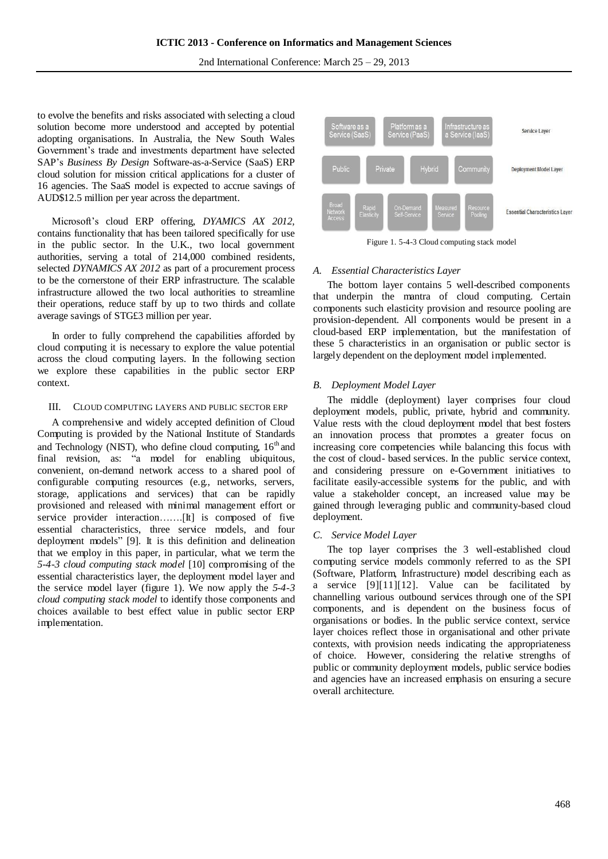to evolve the benefits and risks associated with selecting a cloud solution become more understood and accepted by potential adopting organisations. In Australia, the New South Wales Government's trade and investments department have selected SAP's *Business By Design* Software-as-a-Service (SaaS) ERP cloud solution for mission critical applications for a cluster of 16 agencies. The SaaS model is expected to accrue savings of AUD\$12.5 million per year across the department.

Microsoft's cloud ERP offering, *DYAMICS AX 2012,* contains functionality that has been tailored specifically for use in the public sector. In the U.K., two local government authorities, serving a total of 214,000 combined residents, selected *DYNAMICS AX 2012* as part of a procurement process to be the cornerstone of their ERP infrastructure. The scalable infrastructure allowed the two local authorities to streamline their operations, reduce staff by up to two thirds and collate average savings of STG£3 million per year.

In order to fully comprehend the capabilities afforded by cloud computing it is necessary to explore the value potential across the cloud computing layers. In the following section we explore these capabilities in the public sector ERP context.

## III. CLOUD COMPUTING LAYERS AND PUBLIC SECTOR ERP

A comprehensive and widely accepted definition of Cloud Computing is provided by the National Institute of Standards and Technology (NIST), who define cloud computing,  $16<sup>th</sup>$  and final revision, as: "a model for enabling ubiquitous, convenient, on-demand network access to a shared pool of configurable computing resources (e.g., networks, servers, storage, applications and services) that can be rapidly provisioned and released with minimal management effort or service provider interaction…….[It] is composed of five essential characteristics, three service models, and four deployment models" [9]. It is this definition and delineation that we employ in this paper, in particular, what we term the *5-4-3 cloud computing stack model* [10] compromising of the essential characteristics layer, the deployment model layer and the service model layer (figure 1). We now apply the *5-4-3 cloud computing stack model* to identify those components and choices available to best effect value in public sector ERP implementation.



Figure 1. 5-4-3 Cloud computing stack model

## *A. Essential Characteristics Layer*

The bottom layer contains 5 well-described components that underpin the mantra of cloud computing. Certain components such elasticity provision and resource pooling are provision-dependent. All components would be present in a cloud-based ERP implementation, but the manifestation of these 5 characteristics in an organisation or public sector is largely dependent on the deployment model implemented.

## *B. Deployment Model Layer*

The middle (deployment) layer comprises four cloud deployment models, public, private, hybrid and community. Value rests with the cloud deployment model that best fosters an innovation process that promotes a greater focus on increasing core competencies while balancing this focus with the cost of cloud- based services. In the public service context, and considering pressure on e-Government initiatives to facilitate easily-accessible systems for the public, and with value a stakeholder concept, an increased value may be gained through leveraging public and community-based cloud deployment.

# *C. Service Model Layer*

The top layer comprises the 3 well-established cloud computing service models commonly referred to as the SPI (Software, Platform, Infrastructure) model describing each as a service [9][11][12]. Value can be facilitated by channelling various outbound services through one of the SPI components, and is dependent on the business focus of organisations or bodies. In the public service context, service layer choices reflect those in organisational and other private contexts, with provision needs indicating the appropriateness of choice. However, considering the relative strengths of public or community deployment models, public service bodies and agencies have an increased emphasis on ensuring a secure overall architecture.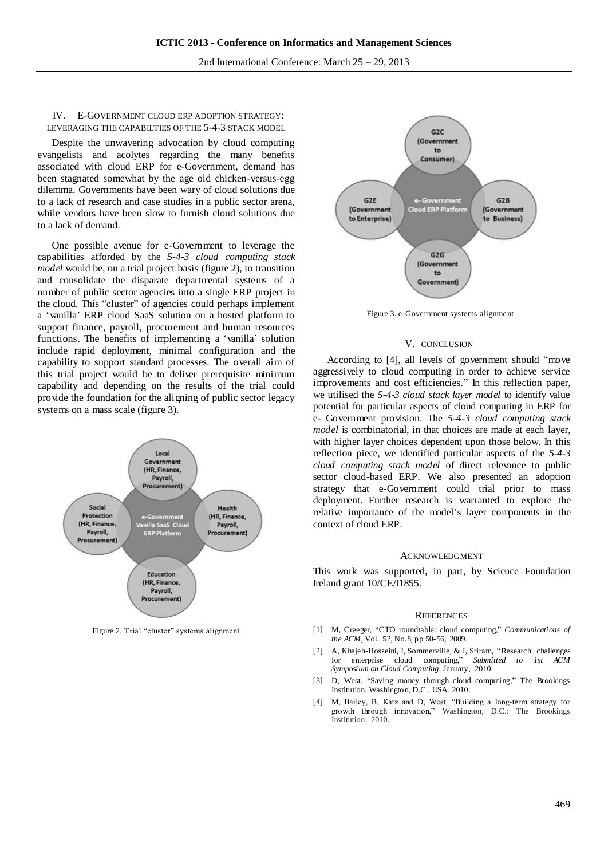# IV. E-GOVERNMENT CLOUD ERP ADOPTION STRATEGY: LEVERAGING THE CAPABILTIES OF THE 5-4-3 STACK MODEL

Despite the unwavering advocation by cloud computing evangelists and acolytes regarding the many benefits associated with cloud ERP for e-Government, demand has been stagnated somewhat by the age old chicken-versus-egg dilemma. Governments have been wary of cloud solutions due to a lack of research and case studies in a public sector arena, while vendors have been slow to furnish cloud solutions due to a lack of demand.

One possible avenue for e-Government to leverage the capabilities afforded by the *5-4-3 cloud computing stack model* would be, on a trial project basis (figure 2), to transition and consolidate the disparate departmental systems of a number of public sector agencies into a single ERP project in the cloud. This "cluster" of agencies could perhaps implement a 'vanilla' ERP cloud SaaS solution on a hosted platform to support finance, payroll, procurement and human resources functions. The benefits of implementing a 'vanilla' solution include rapid deployment, minimal configuration and the capability to support standard processes. The overall aim of this trial project would be to deliver prerequisite minimum capability and depending on the results of the trial could provide the foundation for the aligning of public sector legacy systems on a mass scale (figure 3).



Figure 2. Trial "cluster" systems alignment



Figure 3. e-Government systems alignment

#### V. CONCLUSION

According to [4], all levels of government should "move aggressively to cloud computing in order to achieve service improvements and cost efficiencies." In this reflection paper, we utilised the *5-4-3 cloud stack layer model* to identify value potential for particular aspects of cloud computing in ERP for e- Government provision. The *5-4-3 cloud computing stack model* is combinatorial, in that choices are made at each layer, with higher layer choices dependent upon those below. In this reflection piece, we identified particular aspects of the *5-4-3 cloud computing stack model* of direct relevance to public sector cloud-based ERP. We also presented an adoption strategy that e-Government could trial prior to mass deployment. Further research is warranted to explore the relative importance of the model's layer components in the context of cloud ERP.

#### ACKNOWLEDGMENT

This work was supported, in part, by Science Foundation Ireland grant 10/CE/I1855.

#### **REFERENCES**

- [1] M, Creeger, "CTO roundtable: cloud computing," *Communications of the ACM*, Vol.. 52, No.8, pp 50-56, 2009.
- [2] A, Khajeh-Hosseini, I, Sommerville, & I, Sriram, "Research challenges for enterprise cloud computing," *Submitted to 1st ACM Symposium on Cloud Computing,* January, 2010.
- [3] D, West, "Saving money through cloud computing," The Brookings Institution, Washington, D.C., USA, 2010.
- [4] M, Bailey, B, Katz and D, West, "Building a long-term strategy for growth through innovation," Washington, D.C.: The Brookings Institution, 2010.